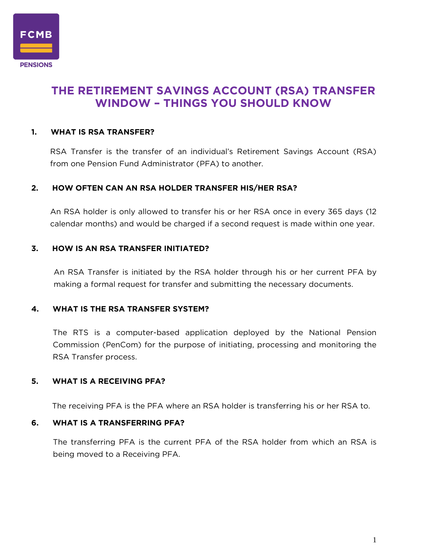

# **THE RETIREMENT SAVINGS ACCOUNT (RSA) TRANSFER WINDOW – THINGS YOU SHOULD KNOW**

#### **WHAT IS RSA TRANSFER?**  $1<sub>1</sub>$ **1. WHAT IS RSA TRANSFER?**

RSA Transfer is the transfer of an individual's Retirement Savings Account (RSA) from one Pension Fund Administrator (PFA) to another. from one Pension Fund Administrator (PFA) to another.

### $2.$ **2. HOW OFTEN CAN AN RSA HOLDER TRANSFER HIS/HER RSA?**

An RSA holder is only allowed to transfer his or her RSA once in every 365 days (12 calendar months) and would be charged if a second request is made within one year. calendar months) and would be charged if a second request is made within one year.

#### 3. **HOW IS AN RSA TRANSFER INITIATED? 3. HOW IS AN RSA TRANSFER INITIATED?**

 $A \sim \frac{1}{2}$  transfer is initiated by the RSA holder through his or her current PFA by the RSA holder through his or  $A \sim \frac{1}{2}$ making a formal request for transfer and submitting the necessary documents.

#### **WHAT IS THE RSA TRANSFER SYSTEM?** 4. **4. WHAT IS THE RSA TRANSFER SYSTEM?**

The RTS is a computer-based application deployed by the National Pension commission (Pencent) for the purpose of initiating, processing the monitoring the  $\sim$ RSA Transfer process.

#### **WHAT IS A RECEIVING PFA?** 5. **5.** *WHAT IS A RECEIVING PFA?*

The receiving PFA is the PFA where an RSA holder is transferring his or her RSA to.

# **6. WHAT IS A TRANSFERRING PFA?**

The transferring PFA is the current PFA of the RSA holder from which an RSA is being moved to a Receiving PFA.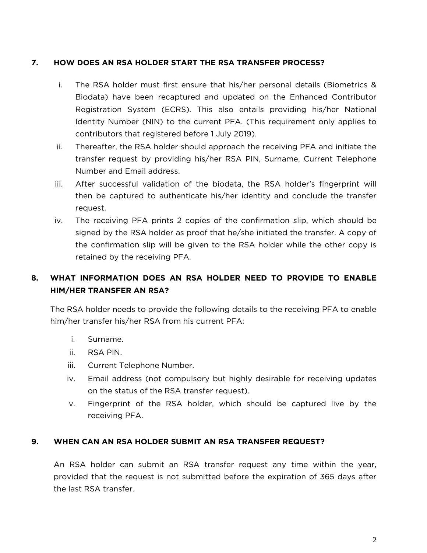#### $\overline{z}$ HOW DOES AN RSA HOLDER START THE RSA TRANSFER PROCESS? **7. HOW DOES AN RSA HOLDER START THE RSA TRANSFER PROCESS?**

- i. The RSA holder must first ensure that his/her personal details (Biometrics & Biodata) have been recaptured and updated on the Enhanced Contributor Registration System (ECRS). This also entails providing his/her National Identity Number (NIN) to the current PFA. (This requirement only applies to contributors that registered before 1 July 2019).
- Thereafter, the RSA holder should approach the receiving PFA and initiate the ii. Thereafter, the RSA holder should approach the receiving PFA and initiate the transfer request by providing his/her RSA PIN, Surname, Current Telephone Number and Email address.<br>After successful validation of the biodata, the RSA holder's fingerprint will
- iii.  $\sim$  after successful values of the biodata, the RSA holder  $\sim$   $\sim$   $\sim$   $\sim$   $\sim$   $\sim$   $\sim$ then be captured to authenticate his/her identity and conclude the transfer
- request.<br>The receiving PFA prints 2 copies of the confirmation slip, which should be iv. signed by the RSA holder as proof that he/she initiated the transfer. A copy of the confirmation slip will be given to the RSA holder while the other copy is the confirmation slip will be given to the RSA holder while the other copy is retained by the receiving PFA.

## 8. **8. WHAT INFORMATION DOES AN RSA HOLDER NEED TO PROVIDE TO ENABLE HIM/HER TRANSFER AN RSA?**

The RSA holder needs to provide the following details to the receiving PFA to enable him/her transfer his/her RSA from his current PFA:  $h_{\text{max}}$  from transfer his/her RSA from his current PFA:

- i. Surname.
- i. Surname.
- iii. Current Telephone Number.
- iii. Current Telephone Number. Email address (not compulsory but highly desirable for receiving updates on the status of the RSA transfer request).
- Fingerprint of the RSA holder, which should be captured live by the v. Fingerprint of the RSA holder, which should be captured live by the receiving PFA.

# **9. WHEN CAN AN RSA HOLDER SUBMIT AN RSA TRANSFER REQUEST?**

An RSA holder can submit an RSA transfer request any time within the year, provided that the request is not submitted before the expiration of 365 days after provided that the request is not submitted before the expiration of 365 days after the last RSA transfer.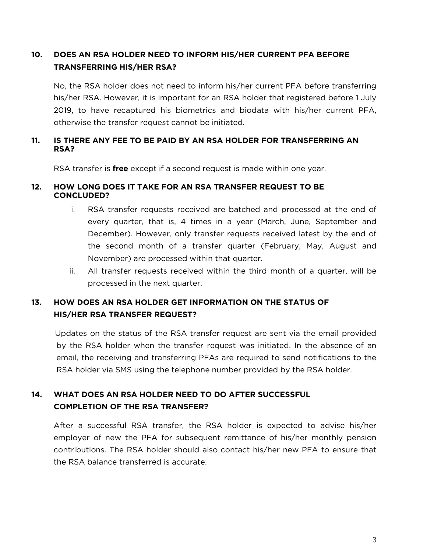# **10. DOES AN RSA HOLDER NEED TO INFORM HIS/HER CURRENT PFA BEFORE TRANSFERRING HIS/HER RSA?**

No, the RSA holder does not need to inform his/her current PFA before transferring<br>his/her RSA. However, it is important for an RSA holder that registered before 1 July 2019, to have recaptured his biometrics and biodata with his/her current PFA, otherwise the transfer request cannot be initiated. otherwise the transfer request cannot be initiated.

#### IS THERE ANY FEE TO BE PAID BY AN RSA HOLDER FOR TRANSFERRING AN  $11.$ **11. IS THERE ANY FEE TO BE PAID BY AN RSA HOLDER FOR TRANSFERRING AN RSA?**

RSA transfer is **free** except if a second request is made within one year.

#### $12.$ HOW LONG DOES IT TAKE FOR AN RSA TRANSFER REQUEST TO BE **CONCLUDED? CONCLUSION**

- RSA transfer requests received are batched and processed at the end of<br>every quarter, that is, 4 times in a year (March, June, September and December). However, only transfer requests received latest by the end of the second month of a transfer quarter (February, May, August and November) are processed within that quarter.
- All transfer requests received within the third month of a quarter, will be ii. All transfer requests received within the third month of a quarter, will be processed in the next quarter.

#### $13.$ HOW DOES AN RSA HOLDER GET INFORMATION ON THE STATUS OF **HIS/HER RSA TRANSFER REQUEST? HIS/HER RSA TRANSFER RSA TRANSFER REQUEST?**

Updates on the status of the RSA transfer request are sent via the email provided<br>by the RSA holder when the transfer request was initiated. In the absence of an email, the receiving and transferring PFAs are required to send notifications to the RSA holder via SMS using the telephone number provided by the RSA holder. RSA holder via SMS using the telephone number provided by the RSA holder.

#### $14.$ WHAT DOES AN RSA HOLDER NEED TO DO AFTER SUCCESSFUL **14. COMPLETION OF THE RSA TRANSFER? COMPLETION OF THE RSA TRANSFER?**

After a successful RSA transfer, the RSA holder is expected to advise his/her<br>employer of new the PFA for subsequent remittance of his/her monthly pension contributions. The RSA holder should also contact his/her new PFA to ensure that the RSA halance transferred is accurate. the RSA balance transferred is accurate.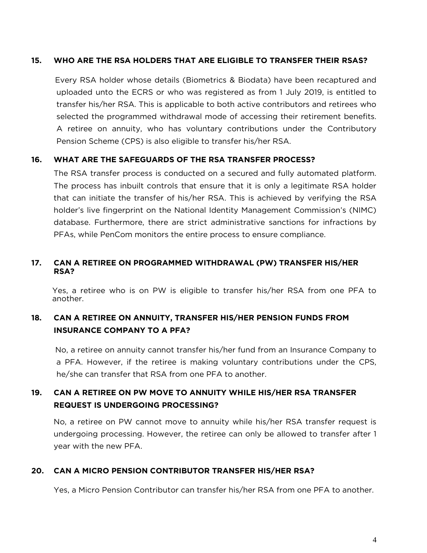# **15. WHO ARE THE RSA HOLDERS THAT ARE ELIGIBLE TO TRANSFER THEIR RSAS?**

Every RSA holder whose details (Biometrics & Biodata) have been recaptured and transfer his/her RSA. This is applicable to both active contributors and retirees who selected the programmed withdrawal mode of accessing their retirement benefits. A retiree on annuity, who has voluntary contributions under the Contributory Pension Scheme (CPS) is also eligible to transfer his/her RSA. Pension Scheme (CPS) is also eligible to transfer his/her RSA.

# **16. WHAT ARE THE SAFEGUARDS OF THE RSA TRANSFER PROCESS?**

The RSA transfer process is conducted on a secured and fully automated platform.<br>The process has inbuilt controls that ensure that it is only a legitimate RSA holder that can initiate the transfer of his/her RSA. This is achieved by verifying the RSA holder's live fingerprint on the National Identity Management Commission's (NIMC) database. Furthermore, there are strict administrative sanctions for infractions by PFAs, while PenCom monitors the entire process to ensure compliance. PFAs, while PenCom monitors the entire process to ensure compliance.

## $17.$ **17. CAN A RETIRE ON PROGRAMMED WITH A RETIRE CONDUCT WITH A RETIRE (PM)** TRANSFER HIMS/HER **RSA? RSA?**

 $\mathcal{L}_{\text{M}}$  another  $\mathcal{L}_{\text{M}}$ another.

## 18. **18. CAN A RETIREE ON ANNUITY, TRANSFER HIS/HER PENSION FUNDS FROM**<br>INSURANCE COMPANY TO A PFA? **INSURANCE COMPANY TO A PFA?**

No, a retiree on annuity cannot transfer his/her fund from an Insurance Company to<br>a PFA. However, if the retiree is making voluntary contributions under the CPS, he/she can transfer that RSA from one PFA to another. he/she can transfer that RSA from one PFA to another.

#### 19. CAN A RETIREE ON PW MOVE TO ANNUITY WHILE HIS/HER RSA TRANSFER **REQUEST IS UNDERGOING PROCESSING? REQUEST IS UNDERGOING PROCESSING?**

 $N_{\rm eff}$  retire on PW cannot move to annual move to annual move to annual move to annual move to annual move to annual move to annual move to annual move to annual move to annual move to annual move to annual move to annu undergoing processing. However, the retiree can only be allowed to transfer after 1 year with the new PFA.

# **20. CAN A MICRO PENSION CONTRIBUTOR TRANSFER HIS/HER RSA?**

Yes, a Micro Pension Contributor can transfer his/her RSA from one PFA to another.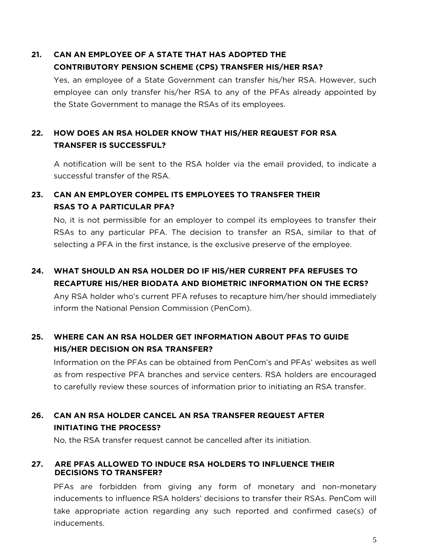# **21. CAN AN EMPLOYEE OF A STATE THAT HAS ADOPTED THE**

Yes, an employee of a State Government can transfer his/her RSA. However, such employee can only transfer his/her RSA to any of the PFAs already appointed by employee can only transfer his/her RSA to any of the PFAs already appointed by the State Government to manage the RSAs of its employees.

## $22.$ **22. HOW DOES AN RSA HOLDER KNOW THAT HIS/HER REQUEST FOR RSA TRANSFER IS SUCCESSFUL?**

A notification will be sent to the RSA holder via the email provided, to indicate a successful transfer of the RSA.

# **23. CAN AN EMPLOYER COMPEL ITS EMPLOYEES TO TRANSFER THEIR**

No, it is not permissible for an employer to compel its employees to transfer their RSAs to any particular PFA. The decision to transfer an RSA, similar to that of RSAs to any particular PFA. The decision to transfer an RSA, similar to that of selecting a PFA in the first instance, is the exclusive preserve of the employee.

## 24. WHAT SHOULD AN RSA HOLDER DO IF HIS/HER CURRENT PFA REFUSES TO **RECAPTURE HIS/HER BIODATA AND BIOMETRIC INFORMATION ON THE ECRS?**

Any RSA holder who's current PFA refuses to recapture him/her should immediately inform the National Pension Commission (PenCom). inform the National Pension Commission (PenCom).

# **25. WHERE CAN AN RSA HOLDER GET INFORMATION ABOUT PFAS TO GUIDE**

Information on the PFAs can be obtained from PenCom's and PFAs' websites as well as from respective PFA branches and service centers. RSA holders are encouraged to carefully review these sources of information prior to initiating an RSA transfer. to carefully review these sources of information prior to initiating an RSA transfer.

### $26.$ CAN AN RSA HOLDER CANCEL AN RSA TRANSFER REQUEST AFTER **INITIATING THE PROCESS?**

No, the RSA transfer request cannot be cancelled after its initiation. No, the RSA transfer request cannot be cancelled after its initiation.

## 27. ARE PFAS ALLOWED TO INDUCE RSA HOLDERS TO INFLUENCE THEIR<br>DECISIONS TO TRANSFER?  **DECISIONS TO TRANSFER?**

PFAs are forbidden from giving any form of monetary and non-monetary<br>inducements.to.influence.RSA.holders' decisions.to.transfer.their.RSAs.PenCom.will take appropriate action regarding any such reported and confirmed case(s) of take appropriate action regarding any such reported and confirmed case(s) of inducements.